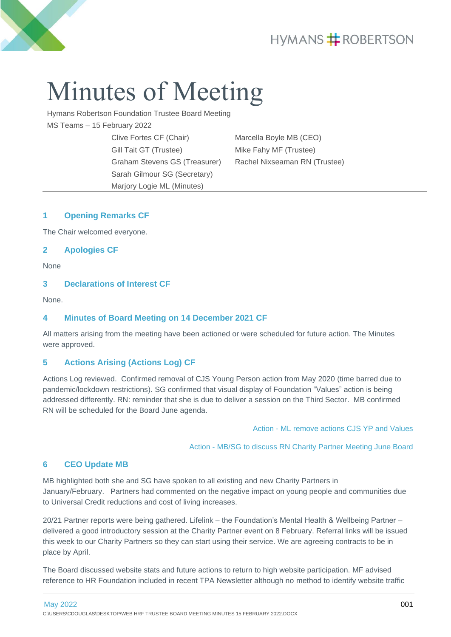## **HYMANS # ROBERTSON**



# Minutes of Meeting

Hymans Robertson Foundation Trustee Board Meeting MS Teams – 15 February 2022

> Clive Fortes CF (Chair) Marcella Boyle MB (CEO) Gill Tait GT (Trustee) Mike Fahy MF (Trustee) Sarah Gilmour SG (Secretary) Marjory Logie ML (Minutes)

Graham Stevens GS (Treasurer) Rachel Nixseaman RN (Trustee)

#### **1 Opening Remarks CF**

The Chair welcomed everyone.

#### **2 Apologies CF**

None

#### **3 Declarations of Interest CF**

None.

#### **4 Minutes of Board Meeting on 14 December 2021 CF**

All matters arising from the meeting have been actioned or were scheduled for future action. The Minutes were approved.

#### **5 Actions Arising (Actions Log) CF**

Actions Log reviewed. Confirmed removal of CJS Young Person action from May 2020 (time barred due to pandemic/lockdown restrictions). SG confirmed that visual display of Foundation "Values" action is being addressed differently. RN: reminder that she is due to deliver a session on the Third Sector. MB confirmed RN will be scheduled for the Board June agenda.

Action - ML remove actions CJS YP and Values

Action - MB/SG to discuss RN Charity Partner Meeting June Board

#### **6 CEO Update MB**

MB highlighted both she and SG have spoken to all existing and new Charity Partners in January/February. Partners had commented on the negative impact on young people and communities due to Universal Credit reductions and cost of living increases.

20/21 Partner reports were being gathered. Lifelink – the Foundation's Mental Health & Wellbeing Partner – delivered a good introductory session at the Charity Partner event on 8 February. Referral links will be issued this week to our Charity Partners so they can start using their service. We are agreeing contracts to be in place by April.

The Board discussed website stats and future actions to return to high website participation. MF advised reference to HR Foundation included in recent TPA Newsletter although no method to identify website traffic

May 2022 **001** C:\USERS\CDOUGLAS\DESKTOP\WEB HRF TRUSTEE BOARD MEETING MINUTES 15 FEBRUARY 2022.DOCX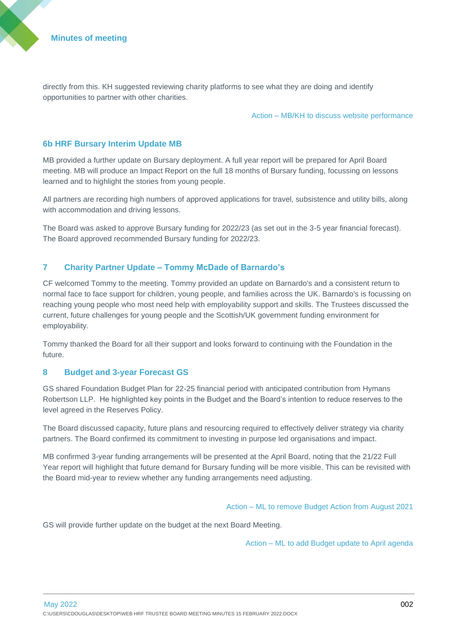directly from this. KH suggested reviewing charity platforms to see what they are doing and identify opportunities to partner with other charities.

Action – MB/KH to discuss website performance

#### **6b HRF Bursary Interim Update MB**

MB provided a further update on Bursary deployment. A full year report will be prepared for April Board meeting. MB will produce an Impact Report on the full 18 months of Bursary funding, focussing on lessons learned and to highlight the stories from young people.

All partners are recording high numbers of approved applications for travel, subsistence and utility bills, along with accommodation and driving lessons.

The Board was asked to approve Bursary funding for 2022/23 (as set out in the 3-5 year financial forecast). The Board approved recommended Bursary funding for 2022/23.

#### **7 Charity Partner Update – Tommy McDade of Barnardo's**

CF welcomed Tommy to the meeting. Tommy provided an update on Barnardo's and a consistent return to normal face to face support for children, young people, and families across the UK. Barnardo's is focussing on reaching young people who most need help with employability support and skills. The Trustees discussed the current, future challenges for young people and the Scottish/UK government funding environment for employability.

Tommy thanked the Board for all their support and looks forward to continuing with the Foundation in the future.

#### **8 Budget and 3-year Forecast GS**

GS shared Foundation Budget Plan for 22-25 financial period with anticipated contribution from Hymans Robertson LLP. He highlighted key points in the Budget and the Board's intention to reduce reserves to the level agreed in the Reserves Policy.

The Board discussed capacity, future plans and resourcing required to effectively deliver strategy via charity partners. The Board confirmed its commitment to investing in purpose led organisations and impact.

MB confirmed 3-year funding arrangements will be presented at the April Board, noting that the 21/22 Full Year report will highlight that future demand for Bursary funding will be more visible. This can be revisited with the Board mid-year to review whether any funding arrangements need adjusting.

Action – ML to remove Budget Action from August 2021

GS will provide further update on the budget at the next Board Meeting.

Action – ML to add Budget update to April agenda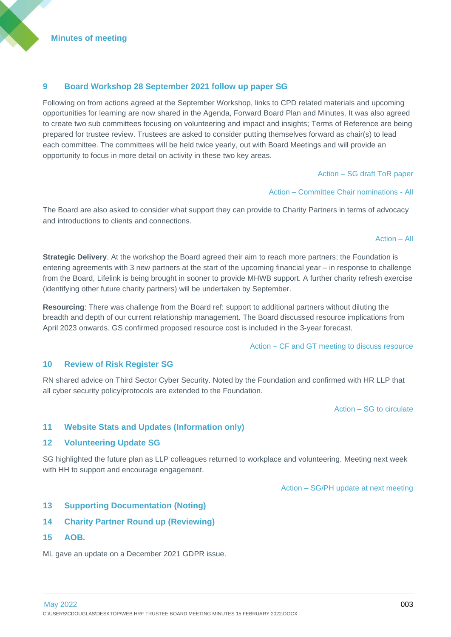#### **9 Board Workshop 28 September 2021 follow up paper SG**

Following on from actions agreed at the September Workshop, links to CPD related materials and upcoming opportunities for learning are now shared in the Agenda, Forward Board Plan and Minutes. It was also agreed to create two sub committees focusing on volunteering and impact and insights; Terms of Reference are being prepared for trustee review. Trustees are asked to consider putting themselves forward as chair(s) to lead each committee. The committees will be held twice yearly, out with Board Meetings and will provide an opportunity to focus in more detail on activity in these two key areas.

Action – SG draft ToR paper

Action – Committee Chair nominations - All

The Board are also asked to consider what support they can provide to Charity Partners in terms of advocacy and introductions to clients and connections.

#### Action – All

**Strategic Delivery**. At the workshop the Board agreed their aim to reach more partners; the Foundation is entering agreements with 3 new partners at the start of the upcoming financial year – in response to challenge from the Board, Lifelink is being brought in sooner to provide MHWB support. A further charity refresh exercise (identifying other future charity partners) will be undertaken by September.

**Resourcing**: There was challenge from the Board ref: support to additional partners without diluting the breadth and depth of our current relationship management. The Board discussed resource implications from April 2023 onwards. GS confirmed proposed resource cost is included in the 3-year forecast.

Action – CF and GT meeting to discuss resource

#### **10 Review of Risk Register SG**

RN shared advice on Third Sector Cyber Security. Noted by the Foundation and confirmed with HR LLP that all cyber security policy/protocols are extended to the Foundation.

Action – SG to circulate

#### **11 Website Stats and Updates (Information only)**

#### **12 Volunteering Update SG**

SG highlighted the future plan as LLP colleagues returned to workplace and volunteering. Meeting next week with HH to support and encourage engagement.

Action – SG/PH update at next meeting

#### **13 Supporting Documentation (Noting)**

- **14 Charity Partner Round up (Reviewing)**
- **15 AOB.**

ML gave an update on a December 2021 GDPR issue.